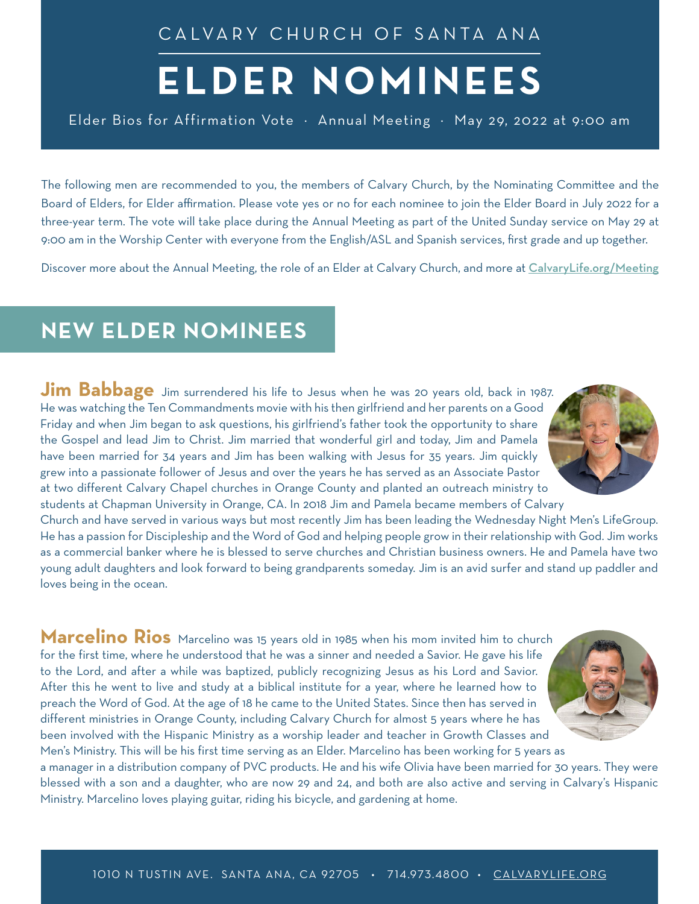CALVARY CHURCH OF SANTA ANA

## **ELDER NOMINEES**

Elder Bios for Affirmation Vote · Annual Meeting · May 29, 2022 at 9:00 am

The following men are recommended to you, the members of Calvary Church, by the Nominating Committee and the Board of Elders, for Elder affirmation. Please vote yes or no for each nominee to join the Elder Board in July 2022 for a three-year term. The vote will take place during the Annual Meeting as part of the United Sunday service on May 29 at 9:00 am in the Worship Center with everyone from the English/ASL and Spanish services, first grade and up together.

Discover more about the Annual Meeting, the role of an Elder at Calvary Church, and more at [CalvaryLife.org/](http://calvarylife.org/meeting/)Meeting

## **NEW ELDER NOMINEES**

**Jim Babbage** Jim surrendered his life to Jesus when he was 20 years old, back in 1987. He was watching the Ten Commandments movie with his then girlfriend and her parents on a Good Friday and when Jim began to ask questions, his girlfriend's father took the opportunity to share the Gospel and lead Jim to Christ. Jim married that wonderful girl and today, Jim and Pamela have been married for 34 years and Jim has been walking with Jesus for 35 years. Jim quickly grew into a passionate follower of Jesus and over the years he has served as an Associate Pastor at two different Calvary Chapel churches in Orange County and planted an outreach ministry to students at Chapman University in Orange, CA. In 2018 Jim and Pamela became members of Calvary

Church and have served in various ways but most recently Jim has been leading the Wednesday Night Men's LifeGroup. He has a passion for Discipleship and the Word of God and helping people grow in their relationship with God. Jim works as a commercial banker where he is blessed to serve churches and Christian business owners. He and Pamela have two young adult daughters and look forward to being grandparents someday. Jim is an avid surfer and stand up paddler and loves being in the ocean.

**Marcelino Rios** Marcelino was 15 years old in 1985 when his mom invited him to church for the first time, where he understood that he was a sinner and needed a Savior. He gave his life to the Lord, and after a while was baptized, publicly recognizing Jesus as his Lord and Savior. After this he went to live and study at a biblical institute for a year, where he learned how to preach the Word of God. At the age of 18 he came to the United States. Since then has served in different ministries in Orange County, including Calvary Church for almost 5 years where he has been involved with the Hispanic Ministry as a worship leader and teacher in Growth Classes and Men's Ministry. This will be his first time serving as an Elder. Marcelino has been working for 5 years as

a manager in a distribution company of PVC products. He and his wife Olivia have been married for 30 years. They were blessed with a son and a daughter, who are now 29 and 24, and both are also active and serving in Calvary's Hispanic Ministry. Marcelino loves playing guitar, riding his bicycle, and gardening at home.